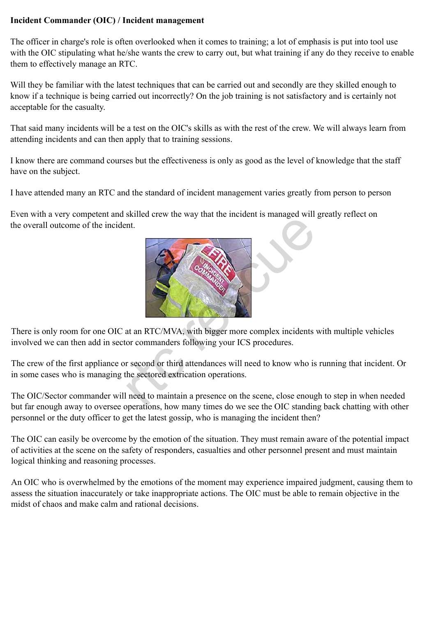## **Incident Commander (OIC) / Incident management**

The officer in charge's role is often overlooked when it comes to training; a lot of emphasis is put into tool use with the OIC stipulating what he/she wants the crew to carry out, but what training if any do they receive to enable them to effectively manage an RTC.

Will they be familiar with the latest techniques that can be carried out and secondly are they skilled enough to know if a technique is being carried out incorrectly? On the job training is not satisfactory and is certainly not acceptable for the casualty.

That said many incidents will be a test on the OIC's skills as with the rest of the crew. We will always learn from attending incidents and can then apply that to training sessions.

I know there are command courses but the effectiveness is only as good as the level of knowledge that the staff have on the subject.

I have attended many an RTC and the standard of incident management varies greatly from person to person

Even with a very competent and skilled crew the way that the incident is managed will greatly reflect on the overall outcome of the incident.



There is only room for one OIC at an RTC/MVA, with bigger more complex incidents with multiple vehicles involved we can then add in sector commanders following your ICS procedures.

The crew of the first appliance or second or third attendances will need to know who is running that incident. Or in some cases who is managing the sectored extrication operations.

The OIC/Sector commander will need to maintain a presence on the scene, close enough to step in when needed but far enough away to oversee operations, how many times do we see the OIC standing back chatting with other personnel or the duty officer to get the latest gossip, who is managing the incident then?

The OIC can easily be overcome by the emotion of the situation. They must remain aware of the potential impact of activities at the scene on the safety of responders, casualties and other personnel present and must maintain logical thinking and reasoning processes.

An OIC who is overwhelmed by the emotions of the moment may experience impaired judgment, causing them to assess the situation inaccurately or take inappropriate actions. The OIC must be able to remain objective in the midst of chaos and make calm and rational decisions.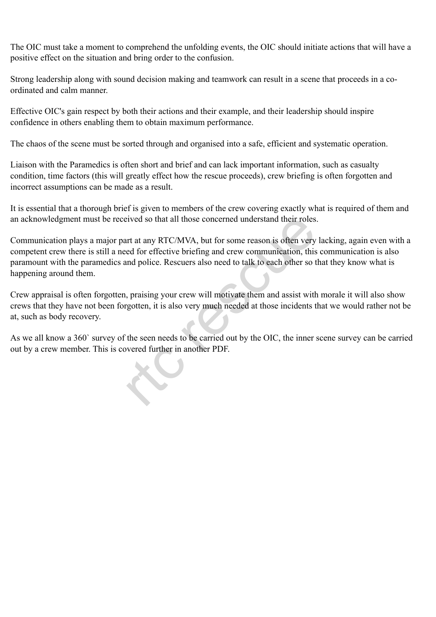The OIC must take a moment to comprehend the unfolding events, the OIC should initiate actions that will have a positive effect on the situation and bring order to the confusion.

Strong leadership along with sound decision making and teamwork can result in a scene that proceeds in a coordinated and calm manner.

Effective OIC's gain respect by both their actions and their example, and their leadership should inspire confidence in others enabling them to obtain maximum performance.

The chaos of the scene must be sorted through and organised into a safe, efficient and systematic operation.

Liaison with the Paramedics is often short and brief and can lack important information, such as casualty condition, time factors (this will greatly effect how the rescue proceeds), crew briefing is often forgotten and incorrect assumptions can be made as a result.

It is essential that a thorough brief is given to members of the crew covering exactly what is required of them and an acknowledgment must be received so that all those concerned understand their roles.

Communication plays a major part at any RTC/MVA, but for some reason is often very lacking, again even with a competent crew there is still a need for effective briefing and crew communication, this communication is also paramount with the paramedics and police. Rescuers also need to talk to each other so that they know what is happening around them. eived so that all those concerned understand their roles<br>interactive of the roles and RTC/MVA, but for some reason is often very<br>ed for effective briefing and crew communication, this<br>ind police. Rescuers also need to talk

Crew appraisal is often forgotten, praising your crew will motivate them and assist with morale it will also show crews that they have not been forgotten, it is also very much needed at those incidents that we would rather not be at, such as body recovery.

As we all know a 360` survey of the seen needs to be carried out by the OIC, the inner scene survey can be carried out by a crew member. This is covered further in another PDF.